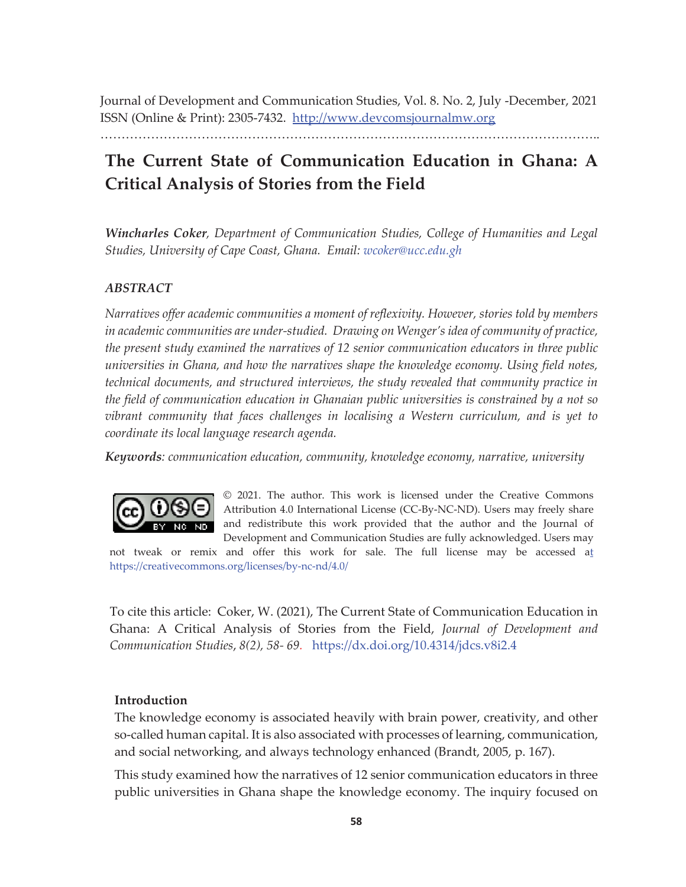Journal of Development and Communication Studies, Vol. 8. No. 2, July -December, 2021 ISSN (Online & Print): 2305-7432. http://www.devcomsjournalmw.org

………………………………………………………………………………………………………..

# **The Current State of Communication Education in Ghana: A Critical Analysis of Stories from the Field**

*Wincharles Coker, Department of Communication Studies, College of Humanities and Legal Studies, University of Cape Coast, Ghana. Email: wcoker@ucc.edu.gh* 

# *ABSTRACT*

*Narratives offer academic communities a moment of reflexivity. However, stories told by members in academic communities are under-studied. Drawing on Wenger's idea of community of practice, the present study examined the narratives of 12 senior communication educators in three public universities in Ghana, and how the narratives shape the knowledge economy. Using field notes, technical documents, and structured interviews, the study revealed that community practice in the field of communication education in Ghanaian public universities is constrained by a not so vibrant community that faces challenges in localising a Western curriculum, and is yet to coordinate its local language research agenda.* 

*Keywords: communication education, community, knowledge economy, narrative, university*



© 2021. The author. This work is licensed under the Creative Commons Attribution 4.0 International License (CC-By-NC-ND). Users may freely share and redistribute this work provided that the author and the Journal of Development and Communication Studies are fully acknowledged. Users may

not tweak or remix and offer this work for sale. The full license may be accessed at https://creativecommons.org/licenses/by-nc-nd/4.0/

To cite this article: Coker, W. (2021), The Current State of Communication Education in Ghana: A Critical Analysis of Stories from the Field, *Journal of Development and Communication Studies*, *8(2), 58- 69.* https://dx.doi.org/10.4314/jdcs.v8i2.4

# **Introduction**

The knowledge economy is associated heavily with brain power, creativity, and other so-called human capital. It is also associated with processes of learning, communication, and social networking, and always technology enhanced (Brandt, 2005, p. 167).

This study examined how the narratives of 12 senior communication educators in three public universities in Ghana shape the knowledge economy. The inquiry focused on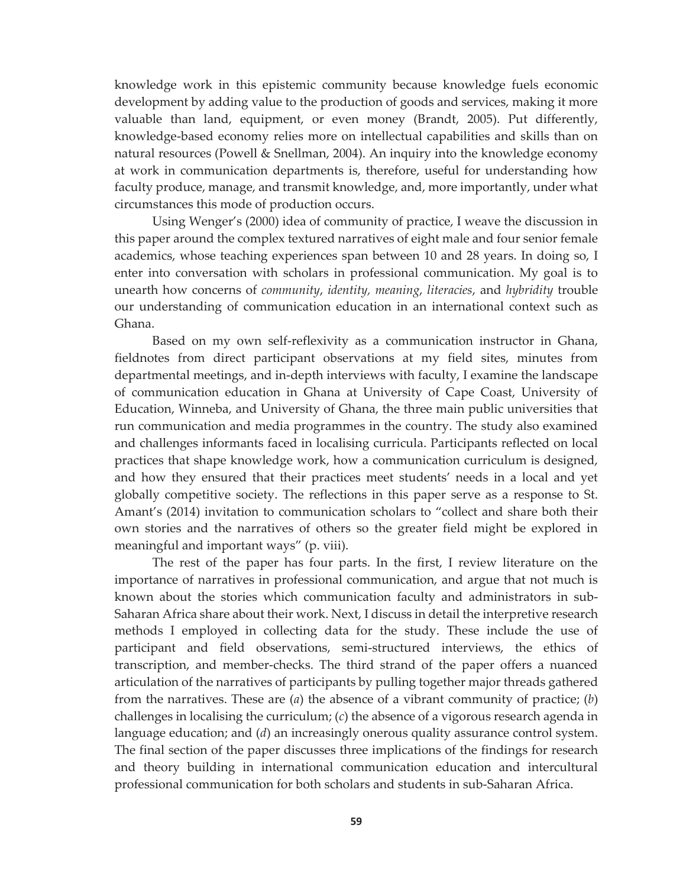knowledge work in this epistemic community because knowledge fuels economic development by adding value to the production of goods and services, making it more valuable than land, equipment, or even money (Brandt, 2005). Put differently, knowledge-based economy relies more on intellectual capabilities and skills than on natural resources (Powell & Snellman, 2004). An inquiry into the knowledge economy at work in communication departments is, therefore, useful for understanding how faculty produce, manage, and transmit knowledge, and, more importantly, under what circumstances this mode of production occurs.

 Using Wenger's (2000) idea of community of practice, I weave the discussion in this paper around the complex textured narratives of eight male and four senior female academics, whose teaching experiences span between 10 and 28 years. In doing so, I enter into conversation with scholars in professional communication. My goal is to unearth how concerns of *community*, *identity, meaning*, *literacies*, and *hybridity* trouble our understanding of communication education in an international context such as Ghana.

 Based on my own self-reflexivity as a communication instructor in Ghana, fieldnotes from direct participant observations at my field sites, minutes from departmental meetings, and in-depth interviews with faculty, I examine the landscape of communication education in Ghana at University of Cape Coast, University of Education, Winneba, and University of Ghana, the three main public universities that run communication and media programmes in the country. The study also examined and challenges informants faced in localising curricula. Participants reflected on local practices that shape knowledge work, how a communication curriculum is designed, and how they ensured that their practices meet students' needs in a local and yet globally competitive society. The reflections in this paper serve as a response to St. Amant's (2014) invitation to communication scholars to "collect and share both their own stories and the narratives of others so the greater field might be explored in meaningful and important ways" (p. viii).

 The rest of the paper has four parts. In the first, I review literature on the importance of narratives in professional communication, and argue that not much is known about the stories which communication faculty and administrators in sub-Saharan Africa share about their work. Next, I discuss in detail the interpretive research methods I employed in collecting data for the study. These include the use of participant and field observations, semi-structured interviews, the ethics of transcription, and member-checks. The third strand of the paper offers a nuanced articulation of the narratives of participants by pulling together major threads gathered from the narratives. These are (*a*) the absence of a vibrant community of practice; (*b*) challenges in localising the curriculum; (*c*) the absence of a vigorous research agenda in language education; and (*d*) an increasingly onerous quality assurance control system. The final section of the paper discusses three implications of the findings for research and theory building in international communication education and intercultural professional communication for both scholars and students in sub-Saharan Africa.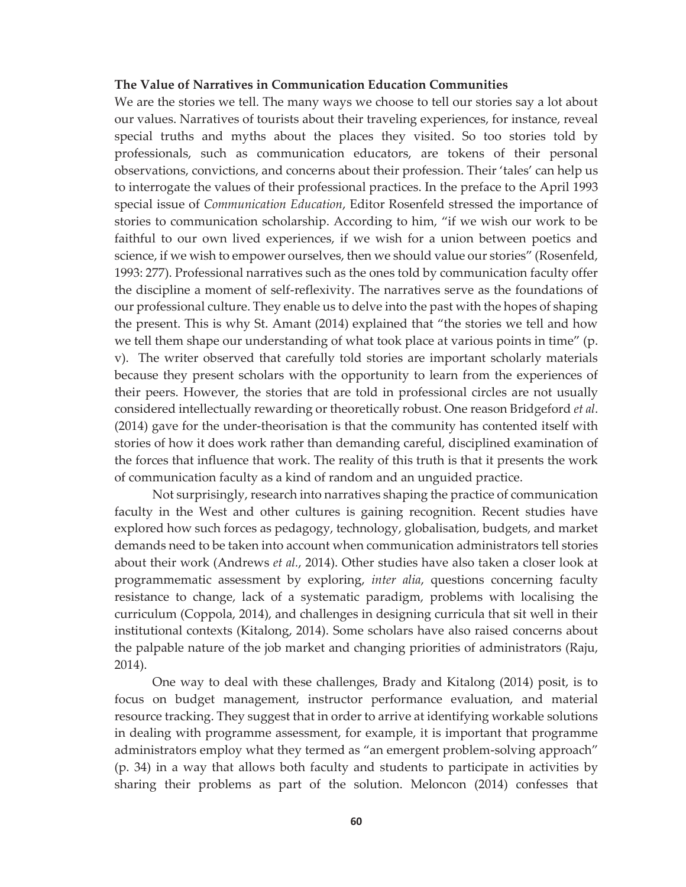#### **The Value of Narratives in Communication Education Communities**

We are the stories we tell. The many ways we choose to tell our stories say a lot about our values. Narratives of tourists about their traveling experiences, for instance, reveal special truths and myths about the places they visited. So too stories told by professionals, such as communication educators, are tokens of their personal observations, convictions, and concerns about their profession. Their 'tales' can help us to interrogate the values of their professional practices. In the preface to the April 1993 special issue of *Communication Education*, Editor Rosenfeld stressed the importance of stories to communication scholarship. According to him, "if we wish our work to be faithful to our own lived experiences, if we wish for a union between poetics and science, if we wish to empower ourselves, then we should value our stories" (Rosenfeld, 1993: 277). Professional narratives such as the ones told by communication faculty offer the discipline a moment of self-reflexivity. The narratives serve as the foundations of our professional culture. They enable us to delve into the past with the hopes of shaping the present. This is why St. Amant (2014) explained that "the stories we tell and how we tell them shape our understanding of what took place at various points in time" (p. v). The writer observed that carefully told stories are important scholarly materials because they present scholars with the opportunity to learn from the experiences of their peers. However, the stories that are told in professional circles are not usually considered intellectually rewarding or theoretically robust. One reason Bridgeford *et al*. (2014) gave for the under-theorisation is that the community has contented itself with stories of how it does work rather than demanding careful, disciplined examination of the forces that influence that work. The reality of this truth is that it presents the work of communication faculty as a kind of random and an unguided practice.

 Not surprisingly, research into narratives shaping the practice of communication faculty in the West and other cultures is gaining recognition. Recent studies have explored how such forces as pedagogy, technology, globalisation, budgets, and market demands need to be taken into account when communication administrators tell stories about their work (Andrews *et al.*, 2014). Other studies have also taken a closer look at programmematic assessment by exploring, *inter alia*, questions concerning faculty resistance to change, lack of a systematic paradigm, problems with localising the curriculum (Coppola, 2014), and challenges in designing curricula that sit well in their institutional contexts (Kitalong, 2014). Some scholars have also raised concerns about the palpable nature of the job market and changing priorities of administrators (Raju, 2014).

One way to deal with these challenges, Brady and Kitalong (2014) posit, is to focus on budget management, instructor performance evaluation, and material resource tracking. They suggest that in order to arrive at identifying workable solutions in dealing with programme assessment, for example, it is important that programme administrators employ what they termed as "an emergent problem-solving approach" (p. 34) in a way that allows both faculty and students to participate in activities by sharing their problems as part of the solution. Meloncon (2014) confesses that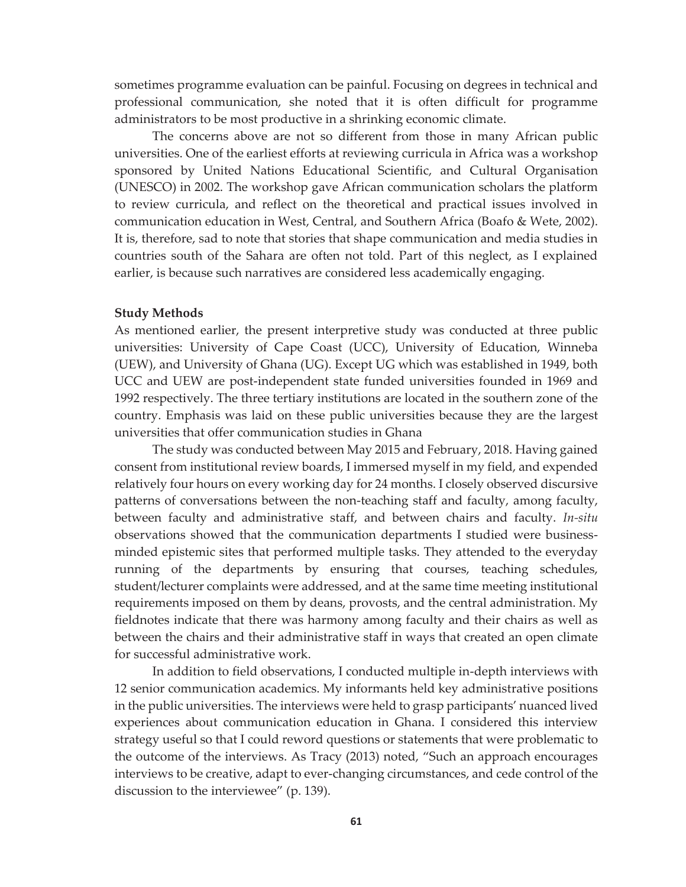sometimes programme evaluation can be painful. Focusing on degrees in technical and professional communication, she noted that it is often difficult for programme administrators to be most productive in a shrinking economic climate.

 The concerns above are not so different from those in many African public universities. One of the earliest efforts at reviewing curricula in Africa was a workshop sponsored by United Nations Educational Scientific, and Cultural Organisation (UNESCO) in 2002. The workshop gave African communication scholars the platform to review curricula, and reflect on the theoretical and practical issues involved in communication education in West, Central, and Southern Africa (Boafo & Wete, 2002). It is, therefore, sad to note that stories that shape communication and media studies in countries south of the Sahara are often not told. Part of this neglect, as I explained earlier, is because such narratives are considered less academically engaging.

#### **Study Methods**

As mentioned earlier, the present interpretive study was conducted at three public universities: University of Cape Coast (UCC), University of Education, Winneba (UEW), and University of Ghana (UG). Except UG which was established in 1949, both UCC and UEW are post-independent state funded universities founded in 1969 and 1992 respectively. The three tertiary institutions are located in the southern zone of the country. Emphasis was laid on these public universities because they are the largest universities that offer communication studies in Ghana

 The study was conducted between May 2015 and February, 2018. Having gained consent from institutional review boards, I immersed myself in my field, and expended relatively four hours on every working day for 24 months. I closely observed discursive patterns of conversations between the non-teaching staff and faculty, among faculty, between faculty and administrative staff, and between chairs and faculty. *In-situ* observations showed that the communication departments I studied were businessminded epistemic sites that performed multiple tasks. They attended to the everyday running of the departments by ensuring that courses, teaching schedules, student/lecturer complaints were addressed, and at the same time meeting institutional requirements imposed on them by deans, provosts, and the central administration. My fieldnotes indicate that there was harmony among faculty and their chairs as well as between the chairs and their administrative staff in ways that created an open climate for successful administrative work.

 In addition to field observations, I conducted multiple in-depth interviews with 12 senior communication academics. My informants held key administrative positions in the public universities. The interviews were held to grasp participants' nuanced lived experiences about communication education in Ghana. I considered this interview strategy useful so that I could reword questions or statements that were problematic to the outcome of the interviews. As Tracy (2013) noted, "Such an approach encourages interviews to be creative, adapt to ever-changing circumstances, and cede control of the discussion to the interviewee" (p. 139).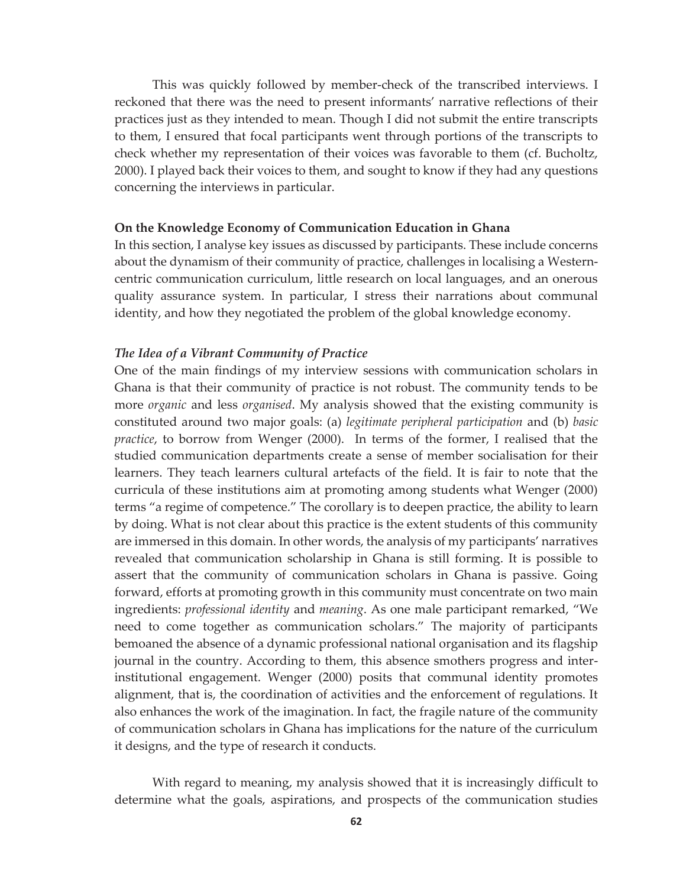This was quickly followed by member-check of the transcribed interviews. I reckoned that there was the need to present informants' narrative reflections of their practices just as they intended to mean. Though I did not submit the entire transcripts to them, I ensured that focal participants went through portions of the transcripts to check whether my representation of their voices was favorable to them (cf. Bucholtz, 2000). I played back their voices to them, and sought to know if they had any questions concerning the interviews in particular.

#### **On the Knowledge Economy of Communication Education in Ghana**

In this section, I analyse key issues as discussed by participants. These include concerns about the dynamism of their community of practice, challenges in localising a Westerncentric communication curriculum, little research on local languages, and an onerous quality assurance system. In particular, I stress their narrations about communal identity, and how they negotiated the problem of the global knowledge economy.

## *The Idea of a Vibrant Community of Practice*

One of the main findings of my interview sessions with communication scholars in Ghana is that their community of practice is not robust. The community tends to be more *organic* and less *organised*. My analysis showed that the existing community is constituted around two major goals: (a) *legitimate peripheral participation* and (b) *basic practice*, to borrow from Wenger (2000). In terms of the former, I realised that the studied communication departments create a sense of member socialisation for their learners. They teach learners cultural artefacts of the field. It is fair to note that the curricula of these institutions aim at promoting among students what Wenger (2000) terms "a regime of competence." The corollary is to deepen practice, the ability to learn by doing. What is not clear about this practice is the extent students of this community are immersed in this domain. In other words, the analysis of my participants' narratives revealed that communication scholarship in Ghana is still forming. It is possible to assert that the community of communication scholars in Ghana is passive. Going forward, efforts at promoting growth in this community must concentrate on two main ingredients: *professional identity* and *meaning*. As one male participant remarked, "We need to come together as communication scholars." The majority of participants bemoaned the absence of a dynamic professional national organisation and its flagship journal in the country. According to them, this absence smothers progress and interinstitutional engagement. Wenger (2000) posits that communal identity promotes alignment, that is, the coordination of activities and the enforcement of regulations. It also enhances the work of the imagination. In fact, the fragile nature of the community of communication scholars in Ghana has implications for the nature of the curriculum it designs, and the type of research it conducts.

 With regard to meaning, my analysis showed that it is increasingly difficult to determine what the goals, aspirations, and prospects of the communication studies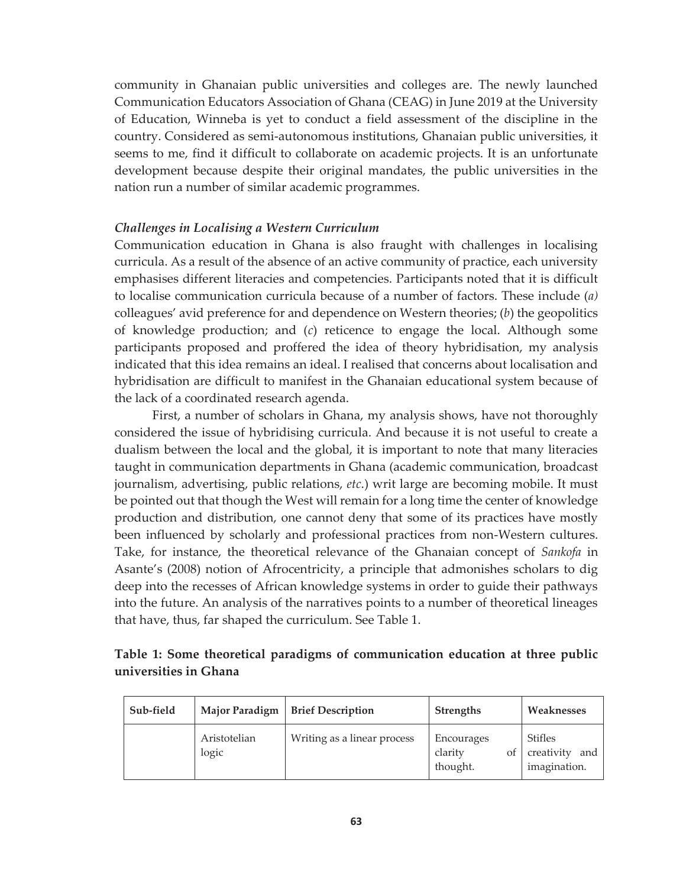community in Ghanaian public universities and colleges are. The newly launched Communication Educators Association of Ghana (CEAG) in June 2019 at the University of Education, Winneba is yet to conduct a field assessment of the discipline in the country. Considered as semi-autonomous institutions, Ghanaian public universities, it seems to me, find it difficult to collaborate on academic projects. It is an unfortunate development because despite their original mandates, the public universities in the nation run a number of similar academic programmes.

## *Challenges in Localising a Western Curriculum*

Communication education in Ghana is also fraught with challenges in localising curricula. As a result of the absence of an active community of practice, each university emphasises different literacies and competencies. Participants noted that it is difficult to localise communication curricula because of a number of factors. These include (*a)* colleagues' avid preference for and dependence on Western theories; (*b*) the geopolitics of knowledge production; and (*c*) reticence to engage the local. Although some participants proposed and proffered the idea of theory hybridisation, my analysis indicated that this idea remains an ideal. I realised that concerns about localisation and hybridisation are difficult to manifest in the Ghanaian educational system because of the lack of a coordinated research agenda.

 First, a number of scholars in Ghana, my analysis shows, have not thoroughly considered the issue of hybridising curricula. And because it is not useful to create a dualism between the local and the global, it is important to note that many literacies taught in communication departments in Ghana (academic communication, broadcast journalism, advertising, public relations, *etc*.) writ large are becoming mobile. It must be pointed out that though the West will remain for a long time the center of knowledge production and distribution, one cannot deny that some of its practices have mostly been influenced by scholarly and professional practices from non-Western cultures. Take, for instance, the theoretical relevance of the Ghanaian concept of *Sankofa* in Asante's (2008) notion of Afrocentricity, a principle that admonishes scholars to dig deep into the recesses of African knowledge systems in order to guide their pathways into the future. An analysis of the narratives points to a number of theoretical lineages that have, thus, far shaped the curriculum. See Table 1.

|                       |  | Table 1: Some theoretical paradigms of communication education at three public |  |  |
|-----------------------|--|--------------------------------------------------------------------------------|--|--|
| universities in Ghana |  |                                                                                |  |  |

| Sub-field | Major Paradigm        | <b>Brief Description</b>    | <b>Strengths</b>                        | Weaknesses                                          |  |
|-----------|-----------------------|-----------------------------|-----------------------------------------|-----------------------------------------------------|--|
|           | Aristotelian<br>logic | Writing as a linear process | Encourages<br>clarity<br>οf<br>thought. | <b>Stifles</b><br>creativity<br>and<br>imagination. |  |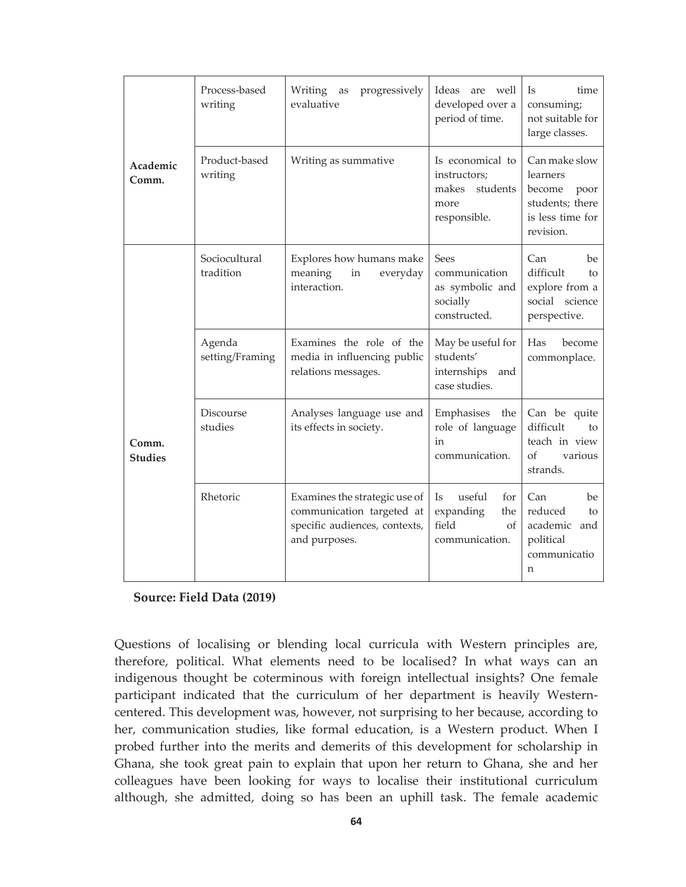|                         | Process-based<br>writing    | Writing<br>progressively<br>as<br>evaluative                                                                 | Ideas<br>well<br>are<br>developed over a<br>period of time.                     | <b>Is</b><br>time<br>consuming;<br>not suitable for<br>large classes.                           |  |
|-------------------------|-----------------------------|--------------------------------------------------------------------------------------------------------------|---------------------------------------------------------------------------------|-------------------------------------------------------------------------------------------------|--|
| Academic<br>Comm.       | Product-based<br>writing    | Writing as summative                                                                                         | Is economical to<br>instructors;<br>students<br>makes<br>more<br>responsible.   | Can make slow<br>learners<br>become<br>poor<br>students; there<br>is less time for<br>revision. |  |
|                         | Sociocultural<br>tradition  | Explores how humans make<br>$\operatorname{in}$<br>meaning<br>everyday<br>interaction.                       | Sees<br>communication<br>as symbolic and<br>socially<br>constructed.            | Can<br>be<br>difficult<br>to<br>explore from a<br>social science<br>perspective.                |  |
| Comm.<br><b>Studies</b> | Agenda<br>setting/Framing   | Examines the role of the<br>media in influencing public<br>relations messages.                               | May be useful for<br>students'<br>internships<br>and<br>case studies.           | Has<br>become<br>commonplace.                                                                   |  |
|                         | <b>Discourse</b><br>studies | Analyses language use and<br>its effects in society.                                                         | Emphasises<br>the<br>role of language<br>in<br>communication.                   | Can be quite<br>difficult<br>to<br>teach in view<br>οf<br>various<br>strands.                   |  |
|                         | Rhetoric                    | Examines the strategic use of<br>communication targeted at<br>specific audiences, contexts,<br>and purposes. | <b>Is</b><br>useful<br>for<br>expanding<br>the<br>field<br>Οf<br>communication. | Can<br>be<br>reduced<br>to<br>academic<br>and<br>political<br>communicatio<br>n                 |  |

## **Source: Field Data (2019)**

Questions of localising or blending local curricula with Western principles are, therefore, political. What elements need to be localised? In what ways can an indigenous thought be coterminous with foreign intellectual insights? One female participant indicated that the curriculum of her department is heavily Westerncentered. This development was, however, not surprising to her because, according to her, communication studies, like formal education, is a Western product. When I probed further into the merits and demerits of this development for scholarship in Ghana, she took great pain to explain that upon her return to Ghana, she and her colleagues have been looking for ways to localise their institutional curriculum although, she admitted, doing so has been an uphill task. The female academic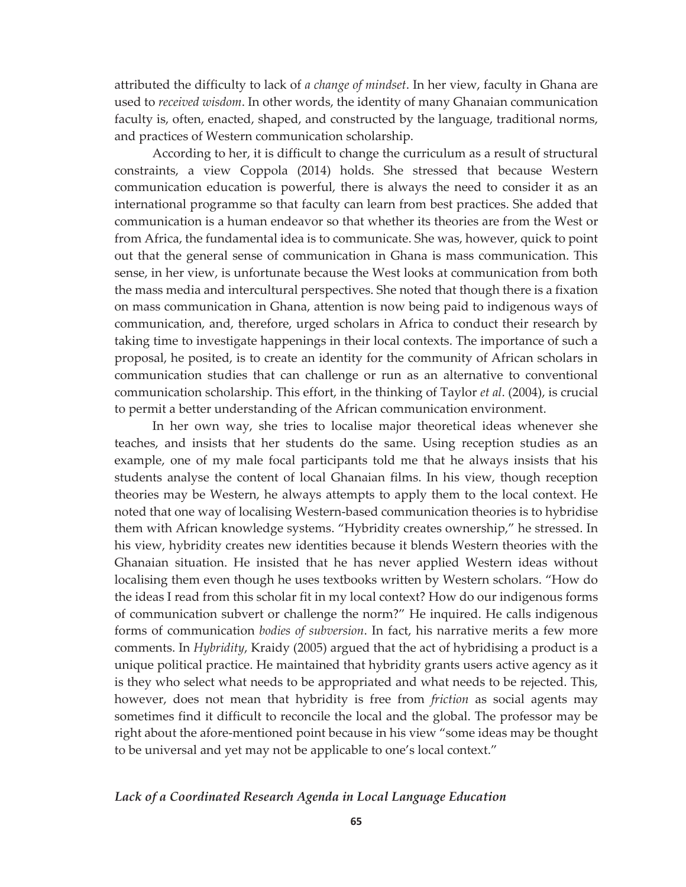attributed the difficulty to lack of *a change of mindset*. In her view, faculty in Ghana are used to *received wisdom*. In other words, the identity of many Ghanaian communication faculty is, often, enacted, shaped, and constructed by the language, traditional norms, and practices of Western communication scholarship.

According to her, it is difficult to change the curriculum as a result of structural constraints, a view Coppola (2014) holds. She stressed that because Western communication education is powerful, there is always the need to consider it as an international programme so that faculty can learn from best practices. She added that communication is a human endeavor so that whether its theories are from the West or from Africa, the fundamental idea is to communicate. She was, however, quick to point out that the general sense of communication in Ghana is mass communication. This sense, in her view, is unfortunate because the West looks at communication from both the mass media and intercultural perspectives. She noted that though there is a fixation on mass communication in Ghana, attention is now being paid to indigenous ways of communication, and, therefore, urged scholars in Africa to conduct their research by taking time to investigate happenings in their local contexts. The importance of such a proposal, he posited, is to create an identity for the community of African scholars in communication studies that can challenge or run as an alternative to conventional communication scholarship. This effort, in the thinking of Taylor *et al*. (2004), is crucial to permit a better understanding of the African communication environment.

 In her own way, she tries to localise major theoretical ideas whenever she teaches, and insists that her students do the same. Using reception studies as an example, one of my male focal participants told me that he always insists that his students analyse the content of local Ghanaian films. In his view, though reception theories may be Western, he always attempts to apply them to the local context. He noted that one way of localising Western-based communication theories is to hybridise them with African knowledge systems. "Hybridity creates ownership," he stressed. In his view, hybridity creates new identities because it blends Western theories with the Ghanaian situation. He insisted that he has never applied Western ideas without localising them even though he uses textbooks written by Western scholars. "How do the ideas I read from this scholar fit in my local context? How do our indigenous forms of communication subvert or challenge the norm?" He inquired. He calls indigenous forms of communication *bodies of subversion*. In fact, his narrative merits a few more comments. In *Hybridity*, Kraidy (2005) argued that the act of hybridising a product is a unique political practice. He maintained that hybridity grants users active agency as it is they who select what needs to be appropriated and what needs to be rejected. This, however, does not mean that hybridity is free from *friction* as social agents may sometimes find it difficult to reconcile the local and the global. The professor may be right about the afore-mentioned point because in his view "some ideas may be thought to be universal and yet may not be applicable to one's local context."

# *Lack of a Coordinated Research Agenda in Local Language Education*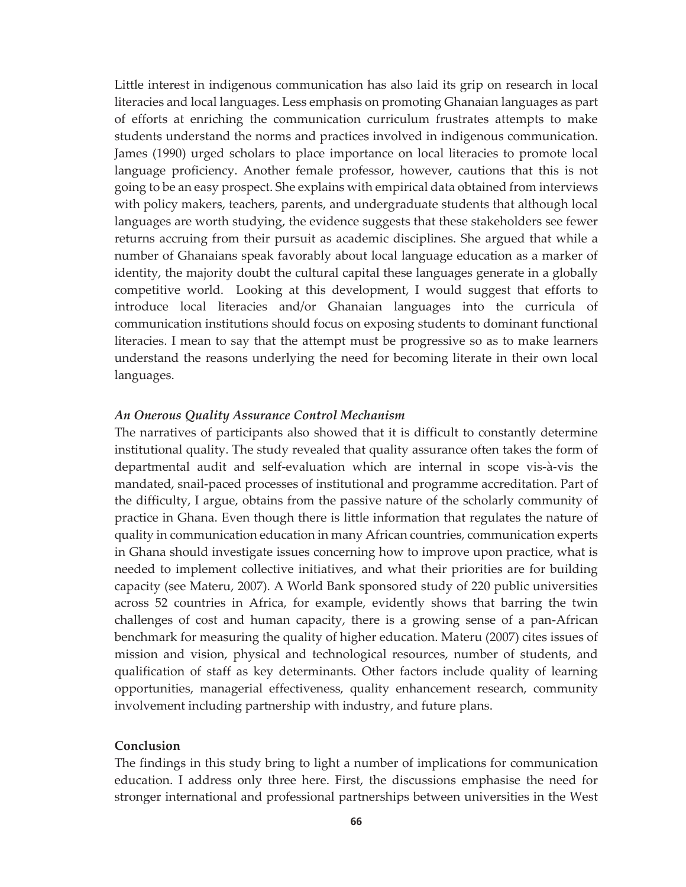Little interest in indigenous communication has also laid its grip on research in local literacies and local languages. Less emphasis on promoting Ghanaian languages as part of efforts at enriching the communication curriculum frustrates attempts to make students understand the norms and practices involved in indigenous communication. James (1990) urged scholars to place importance on local literacies to promote local language proficiency. Another female professor, however, cautions that this is not going to be an easy prospect. She explains with empirical data obtained from interviews with policy makers, teachers, parents, and undergraduate students that although local languages are worth studying, the evidence suggests that these stakeholders see fewer returns accruing from their pursuit as academic disciplines. She argued that while a number of Ghanaians speak favorably about local language education as a marker of identity, the majority doubt the cultural capital these languages generate in a globally competitive world. Looking at this development, I would suggest that efforts to introduce local literacies and/or Ghanaian languages into the curricula of communication institutions should focus on exposing students to dominant functional literacies. I mean to say that the attempt must be progressive so as to make learners understand the reasons underlying the need for becoming literate in their own local languages.

#### *An Onerous Quality Assurance Control Mechanism*

The narratives of participants also showed that it is difficult to constantly determine institutional quality. The study revealed that quality assurance often takes the form of departmental audit and self-evaluation which are internal in scope vis-à-vis the mandated, snail-paced processes of institutional and programme accreditation. Part of the difficulty, I argue, obtains from the passive nature of the scholarly community of practice in Ghana. Even though there is little information that regulates the nature of quality in communication education in many African countries, communication experts in Ghana should investigate issues concerning how to improve upon practice, what is needed to implement collective initiatives, and what their priorities are for building capacity (see Materu, 2007). A World Bank sponsored study of 220 public universities across 52 countries in Africa, for example, evidently shows that barring the twin challenges of cost and human capacity, there is a growing sense of a pan-African benchmark for measuring the quality of higher education. Materu (2007) cites issues of mission and vision, physical and technological resources, number of students, and qualification of staff as key determinants. Other factors include quality of learning opportunities, managerial effectiveness, quality enhancement research, community involvement including partnership with industry, and future plans.

# **Conclusion**

The findings in this study bring to light a number of implications for communication education. I address only three here. First, the discussions emphasise the need for stronger international and professional partnerships between universities in the West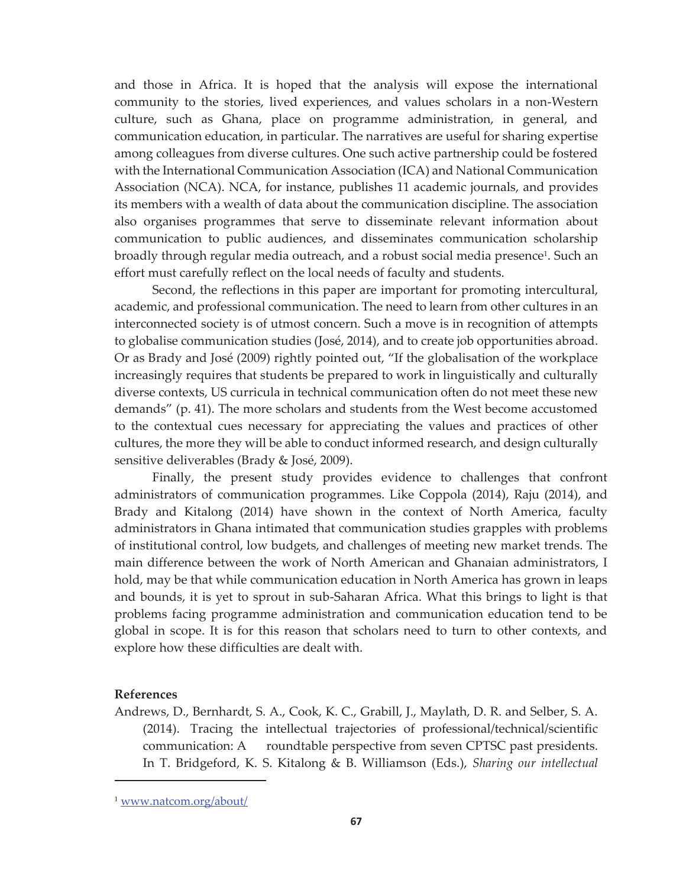and those in Africa. It is hoped that the analysis will expose the international community to the stories, lived experiences, and values scholars in a non-Western culture, such as Ghana, place on programme administration, in general, and communication education, in particular. The narratives are useful for sharing expertise among colleagues from diverse cultures. One such active partnership could be fostered with the International Communication Association (ICA) and National Communication Association (NCA). NCA, for instance, publishes 11 academic journals, and provides its members with a wealth of data about the communication discipline. The association also organises programmes that serve to disseminate relevant information about communication to public audiences, and disseminates communication scholarship broadly through regular media outreach, and a robust social media presence<sup>1</sup>. Such an effort must carefully reflect on the local needs of faculty and students.

 Second, the reflections in this paper are important for promoting intercultural, academic, and professional communication. The need to learn from other cultures in an interconnected society is of utmost concern. Such a move is in recognition of attempts to globalise communication studies (José, 2014), and to create job opportunities abroad. Or as Brady and José (2009) rightly pointed out, "If the globalisation of the workplace increasingly requires that students be prepared to work in linguistically and culturally diverse contexts, US curricula in technical communication often do not meet these new demands" (p. 41). The more scholars and students from the West become accustomed to the contextual cues necessary for appreciating the values and practices of other cultures, the more they will be able to conduct informed research, and design culturally sensitive deliverables (Brady & José, 2009).

 Finally, the present study provides evidence to challenges that confront administrators of communication programmes. Like Coppola (2014), Raju (2014), and Brady and Kitalong (2014) have shown in the context of North America, faculty administrators in Ghana intimated that communication studies grapples with problems of institutional control, low budgets, and challenges of meeting new market trends. The main difference between the work of North American and Ghanaian administrators, I hold, may be that while communication education in North America has grown in leaps and bounds, it is yet to sprout in sub-Saharan Africa. What this brings to light is that problems facing programme administration and communication education tend to be global in scope. It is for this reason that scholars need to turn to other contexts, and explore how these difficulties are dealt with.

## **References**

 $\overline{a}$ 

Andrews, D., Bernhardt, S. A., Cook, K. C., Grabill, J., Maylath, D. R. and Selber, S. A. (2014). Tracing the intellectual trajectories of professional/technical/scientific communication: A roundtable perspective from seven CPTSC past presidents. In T. Bridgeford, K. S. Kitalong & B. Williamson (Eds.), *Sharing our intellectual* 

<sup>1</sup> www.natcom.org/about/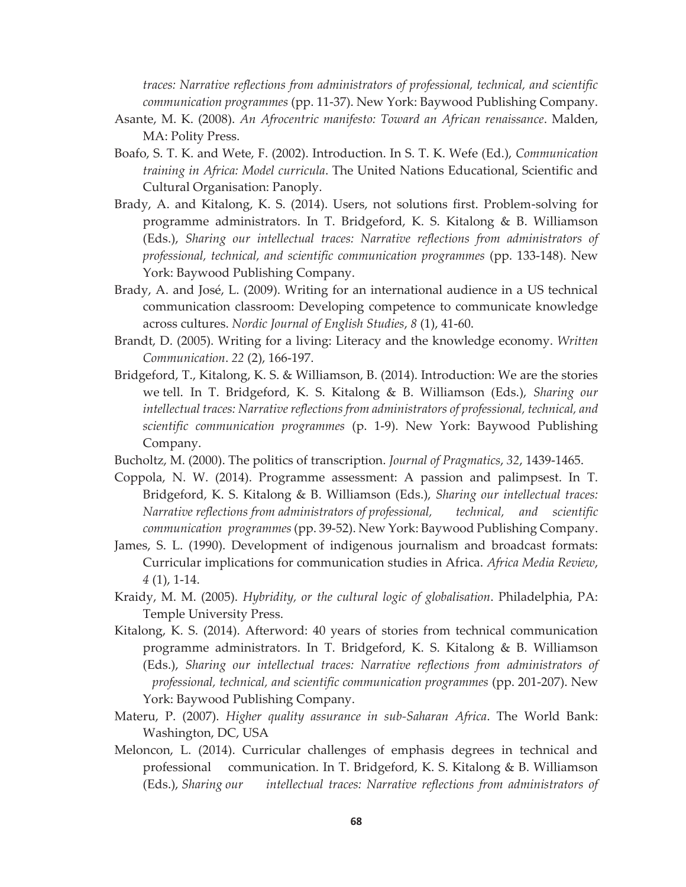*traces: Narrative reflections from administrators of professional, technical, and scientific communication programmes* (pp. 11-37). New York: Baywood Publishing Company.

- Asante, M. K. (2008). *An Afrocentric manifesto: Toward an African renaissance*. Malden, MA: Polity Press.
- Boafo, S. T. K. and Wete, F. (2002). Introduction. In S. T. K. Wefe (Ed.), *Communication training in Africa: Model curricula*. The United Nations Educational, Scientific and Cultural Organisation: Panoply.
- Brady, A. and Kitalong, K. S. (2014). Users, not solutions first. Problem-solving for programme administrators. In T. Bridgeford, K. S. Kitalong & B. Williamson (Eds.), *Sharing our intellectual traces: Narrative reflections from administrators of professional, technical, and scientific communication programmes* (pp. 133-148). New York: Baywood Publishing Company.
- Brady, A. and José, L. (2009). Writing for an international audience in a US technical communication classroom: Developing competence to communicate knowledge across cultures. *Nordic Journal of English Studies*, *8* (1), 41-60.
- Brandt, D. (2005). Writing for a living: Literacy and the knowledge economy. *Written Communication*. *22* (2), 166-197.
- Bridgeford, T., Kitalong, K. S. & Williamson, B. (2014). Introduction: We are the stories we tell. In T. Bridgeford, K. S. Kitalong & B. Williamson (Eds.), *Sharing our intellectual traces: Narrative reflections from administrators of professional, technical, and scientific communication programmes* (p. 1-9). New York: Baywood Publishing Company.
- Bucholtz, M. (2000). The politics of transcription. *Journal of Pragmatics*, *32*, 1439-1465.
- Coppola, N. W. (2014). Programme assessment: A passion and palimpsest. In T. Bridgeford, K. S. Kitalong & B. Williamson (Eds.), *Sharing our intellectual traces: Narrative reflections from administrators of professional, technical, and scientific communication programmes* (pp. 39-52). New York: Baywood Publishing Company.
- James, S. L. (1990). Development of indigenous journalism and broadcast formats: Curricular implications for communication studies in Africa. *Africa Media Review*, *4* (1), 1-14.
- Kraidy, M. M. (2005). *Hybridity, or the cultural logic of globalisation*. Philadelphia, PA: Temple University Press.
- Kitalong, K. S. (2014). Afterword: 40 years of stories from technical communication programme administrators. In T. Bridgeford, K. S. Kitalong & B. Williamson (Eds.), *Sharing our intellectual traces: Narrative reflections from administrators of professional, technical, and scientific communication programmes* (pp. 201-207). New York: Baywood Publishing Company.
- Materu, P. (2007). *Higher quality assurance in sub-Saharan Africa*. The World Bank: Washington, DC, USA
- Meloncon, L. (2014). Curricular challenges of emphasis degrees in technical and professional communication. In T. Bridgeford, K. S. Kitalong & B. Williamson (Eds.), *Sharing our intellectual traces: Narrative reflections from administrators of*